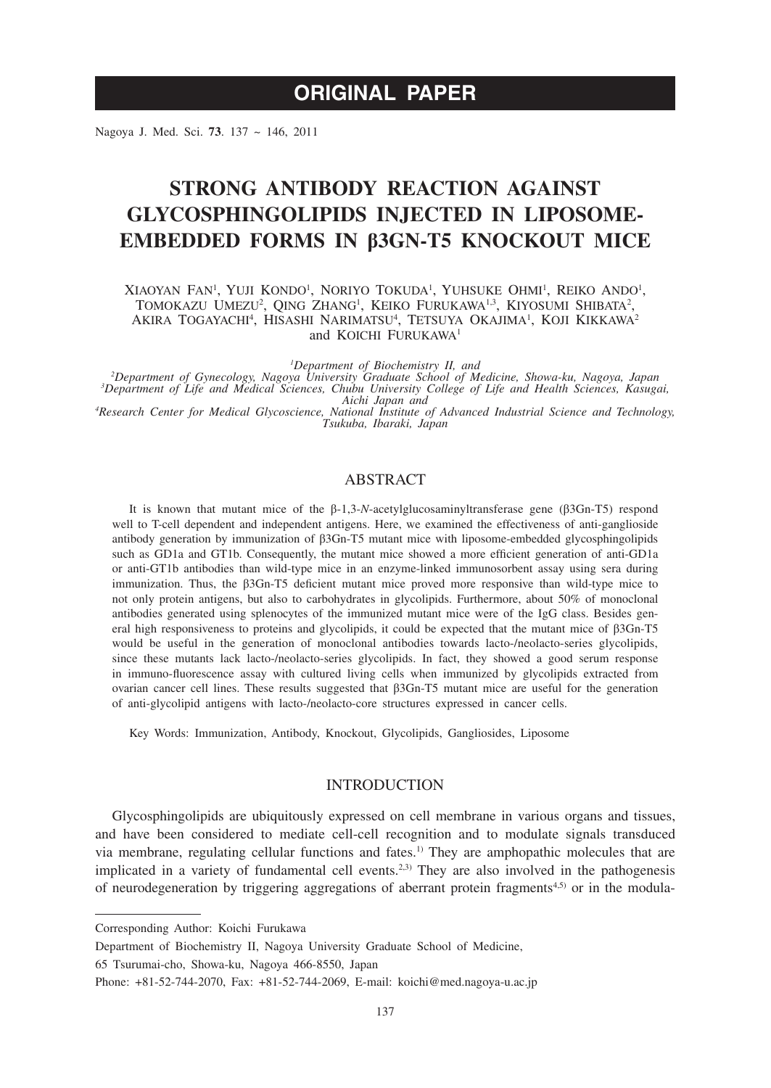# **ORIGINAL PAPER**

Nagoya J. Med. Sci. **73**. 137 ~ 146, 2011

# **STRONG ANTIBODY REACTION AGAINST GLYCOSPHINGOLIPIDS INJECTED IN LIPOSOME-EMBEDDED FORMS IN β3GN-T5 KNOCKOUT MICE**

XIAOYAN FAN<sup>i</sup>, Yuji Kondo<sup>i</sup>, Noriyo Tokuda<sup>i</sup>, Yuhsuke Ohmi<sup>i</sup>, Reiko Ando<sup>i</sup>, TOMOKAZU UMEZU<sup>2</sup>, QING ZHANG<sup>1</sup>, KEIKO FURUKAWA<sup>1,3</sup>, KIYOSUMI SHIBATA<sup>2</sup>, AKIRA TOGAYACHI<sup>4</sup>, HISASHI NARIMATSU<sup>4</sup>, TETSUYA OKAJIMA<sup>1</sup>, KOJI KIKKAWA<sup>2</sup> and KOICHI FURUKAWA<sup>1</sup>

*1*<br>
<sup>1</sup>Department of Gynecology Nagoya University Graduate School of M<sup>2</sup> <sup>2</sup>Department of Gynecology, Nagoya University Graduate School of Medicine, Showa-ku, Nagoya, Japan<sup>3</sup><br><sup>3</sup>Department of Life and Medical Sciences, Chubu University College of Life and Health Sciences, Kasugai,<br><sup>4</sup>Research

*Tsukuba, Ibaraki, Japan*

# ABSTRACT

It is known that mutant mice of the β-1,3-*N*-acetylglucosaminyltransferase gene (β3Gn-T5) respond well to T-cell dependent and independent antigens. Here, we examined the effectiveness of anti-ganglioside antibody generation by immunization of β3Gn-T5 mutant mice with liposome-embedded glycosphingolipids such as GD1a and GT1b. Consequently, the mutant mice showed a more efficient generation of anti-GD1a or anti-GT1b antibodies than wild-type mice in an enzyme-linked immunosorbent assay using sera during immunization. Thus, the β3Gn-T5 deficient mutant mice proved more responsive than wild-type mice to not only protein antigens, but also to carbohydrates in glycolipids. Furthermore, about 50% of monoclonal antibodies generated using splenocytes of the immunized mutant mice were of the IgG class. Besides general high responsiveness to proteins and glycolipids, it could be expected that the mutant mice of β3Gn-T5 would be useful in the generation of monoclonal antibodies towards lacto-/neolacto-series glycolipids, since these mutants lack lacto-/neolacto-series glycolipids. In fact, they showed a good serum response in immuno-fluorescence assay with cultured living cells when immunized by glycolipids extracted from ovarian cancer cell lines. These results suggested that β3Gn-T5 mutant mice are useful for the generation of anti-glycolipid antigens with lacto-/neolacto-core structures expressed in cancer cells.

Key Words: Immunization, Antibody, Knockout, Glycolipids, Gangliosides, Liposome

# INTRODUCTION

Glycosphingolipids are ubiquitously expressed on cell membrane in various organs and tissues, and have been considered to mediate cell-cell recognition and to modulate signals transduced via membrane, regulating cellular functions and fates.1) They are amphopathic molecules that are implicated in a variety of fundamental cell events.<sup>2,3)</sup> They are also involved in the pathogenesis of neurodegeneration by triggering aggregations of aberrant protein fragments4,5) or in the modula-

65 Tsurumai-cho, Showa-ku, Nagoya 466-8550, Japan

Corresponding Author: Koichi Furukawa

Department of Biochemistry II, Nagoya University Graduate School of Medicine,

Phone: +81-52-744-2070, Fax: +81-52-744-2069, E-mail: koichi@med.nagoya-u.ac.jp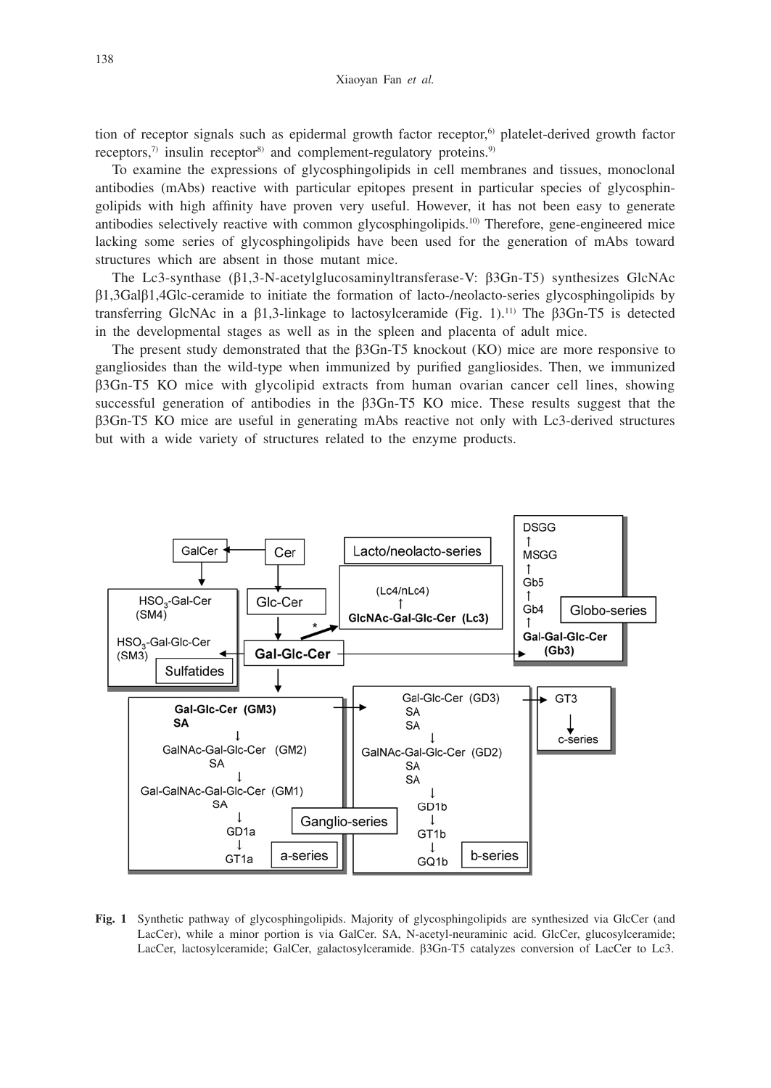tion of receptor signals such as epidermal growth factor receptor,6) platelet-derived growth factor receptors, $\eta$  insulin receptor<sup>8)</sup> and complement-regulatory proteins.<sup>9)</sup>

To examine the expressions of glycosphingolipids in cell membranes and tissues, monoclonal antibodies (mAbs) reactive with particular epitopes present in particular species of glycosphingolipids with high affinity have proven very useful. However, it has not been easy to generate antibodies selectively reactive with common glycosphingolipids.10) Therefore, gene-engineered mice lacking some series of glycosphingolipids have been used for the generation of mAbs toward structures which are absent in those mutant mice.

The Lc3-synthase (β1,3-N-acetylglucosaminyltransferase-V: β3Gn-T5) synthesizes GlcNAc β1,3Galβ1,4Glc-ceramide to initiate the formation of lacto-/neolacto-series glycosphingolipids by transferring GlcNAc in a β1,3-linkage to lactosylceramide (Fig. 1).11) The β3Gn-T5 is detected in the developmental stages as well as in the spleen and placenta of adult mice.

The present study demonstrated that the β3Gn-T5 knockout (KO) mice are more responsive to gangliosides than the wild-type when immunized by purified gangliosides. Then, we immunized β3Gn-T5 KO mice with glycolipid extracts from human ovarian cancer cell lines, showing successful generation of antibodies in the β3Gn-T5 KO mice. These results suggest that the β3Gn-T5 KO mice are useful in generating mAbs reactive not only with Lc3-derived structures but with a wide variety of structures related to the enzyme products.



**Fig. 1** Synthetic pathway of glycosphingolipids. Majority of glycosphingolipids are synthesized via GlcCer (and LacCer), while a minor portion is via GalCer. SA, N-acetyl-neuraminic acid. GlcCer, glucosylceramide; LacCer, lactosylceramide; GalCer, galactosylceramide. β3Gn-T5 catalyzes conversion of LacCer to Lc3.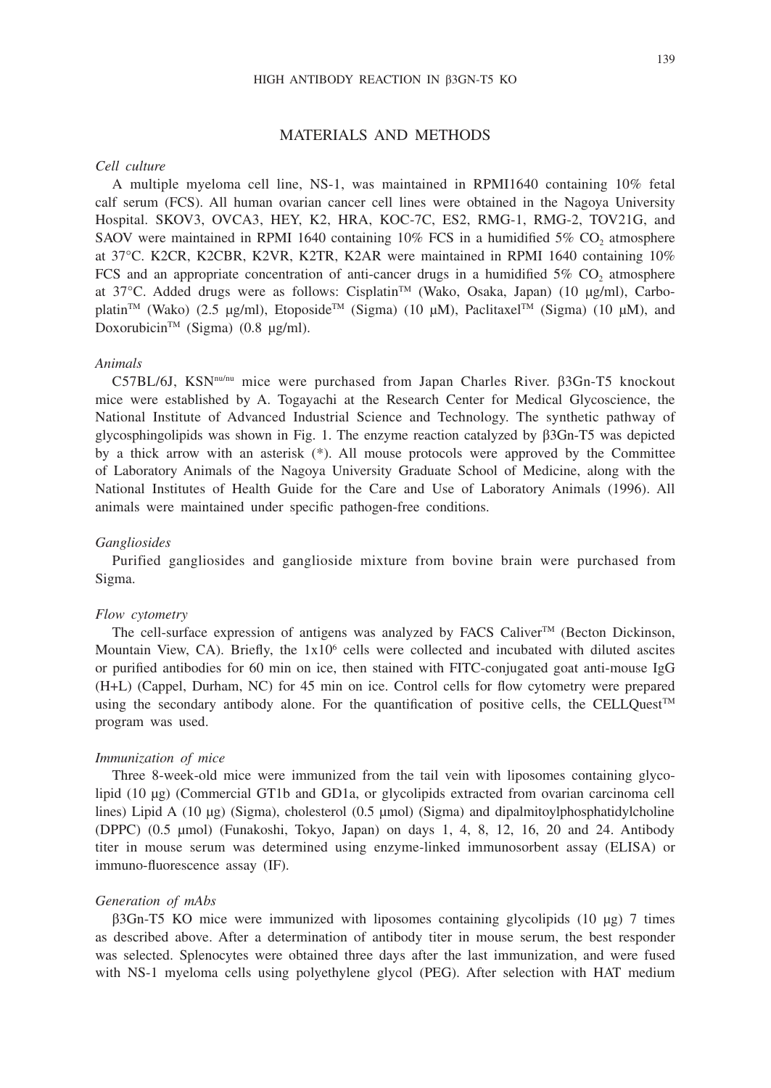### 139

# MATERIALS AND METHODS

## *Cell culture*

A multiple myeloma cell line, NS-1, was maintained in RPMI1640 containing 10% fetal calf serum (FCS). All human ovarian cancer cell lines were obtained in the Nagoya University Hospital. SKOV3, OVCA3, HEY, K2, HRA, KOC-7C, ES2, RMG-1, RMG-2, TOV21G, and SAOV were maintained in RPMI 1640 containing  $10\%$  FCS in a humidified 5% CO, atmosphere at 37°C. K2CR, K2CBR, K2VR, K2TR, K2AR were maintained in RPMI 1640 containing 10% FCS and an appropriate concentration of anti-cancer drugs in a humidified  $5\%$  CO<sub>2</sub> atmosphere at 37°C. Added drugs were as follows: Cisplatin<sup>™</sup> (Wako, Osaka, Japan) (10 μg/ml), Carboplatin<sup>TM</sup> (Wako) (2.5 μg/ml), Etoposide<sup>TM</sup> (Sigma) (10 μM), Paclitaxel<sup>TM</sup> (Sigma) (10 μM), and Doxorubicin<sup>TM</sup> (Sigma) (0.8  $\mu$ g/ml).

# *Animals*

C57BL/6J, KSNnu/nu mice were purchased from Japan Charles River. β3Gn-T5 knockout mice were established by A. Togayachi at the Research Center for Medical Glycoscience, the National Institute of Advanced Industrial Science and Technology. The synthetic pathway of glycosphingolipids was shown in Fig. 1. The enzyme reaction catalyzed by β3Gn-T5 was depicted by a thick arrow with an asterisk (\*). All mouse protocols were approved by the Committee of Laboratory Animals of the Nagoya University Graduate School of Medicine, along with the National Institutes of Health Guide for the Care and Use of Laboratory Animals (1996). All animals were maintained under specific pathogen-free conditions.

#### *Gangliosides*

Purified gangliosides and ganglioside mixture from bovine brain were purchased from Sigma.

### *Flow cytometry*

The cell-surface expression of antigens was analyzed by FACS Caliver<sup>TM</sup> (Becton Dickinson, Mountain View, CA). Briefly, the  $1x10^6$  cells were collected and incubated with diluted ascites or purified antibodies for 60 min on ice, then stained with FITC-conjugated goat anti-mouse IgG (H+L) (Cappel, Durham, NC) for 45 min on ice. Control cells for flow cytometry were prepared using the secondary antibody alone. For the quantification of positive cells, the CELLQuest<sup>TM</sup> program was used.

#### *Immunization of mice*

Three 8-week-old mice were immunized from the tail vein with liposomes containing glycolipid (10 μg) (Commercial GT1b and GD1a, or glycolipids extracted from ovarian carcinoma cell lines) Lipid A (10 μg) (Sigma), cholesterol (0.5 μmol) (Sigma) and dipalmitoylphosphatidylcholine (DPPC) (0.5 μmol) (Funakoshi, Tokyo, Japan) on days 1, 4, 8, 12, 16, 20 and 24. Antibody titer in mouse serum was determined using enzyme-linked immunosorbent assay (ELISA) or immuno-fluorescence assay (IF).

#### *Generation of mAbs*

β3Gn-T5 KO mice were immunized with liposomes containing glycolipids (10 μg) 7 times as described above. After a determination of antibody titer in mouse serum, the best responder was selected. Splenocytes were obtained three days after the last immunization, and were fused with NS-1 myeloma cells using polyethylene glycol (PEG). After selection with HAT medium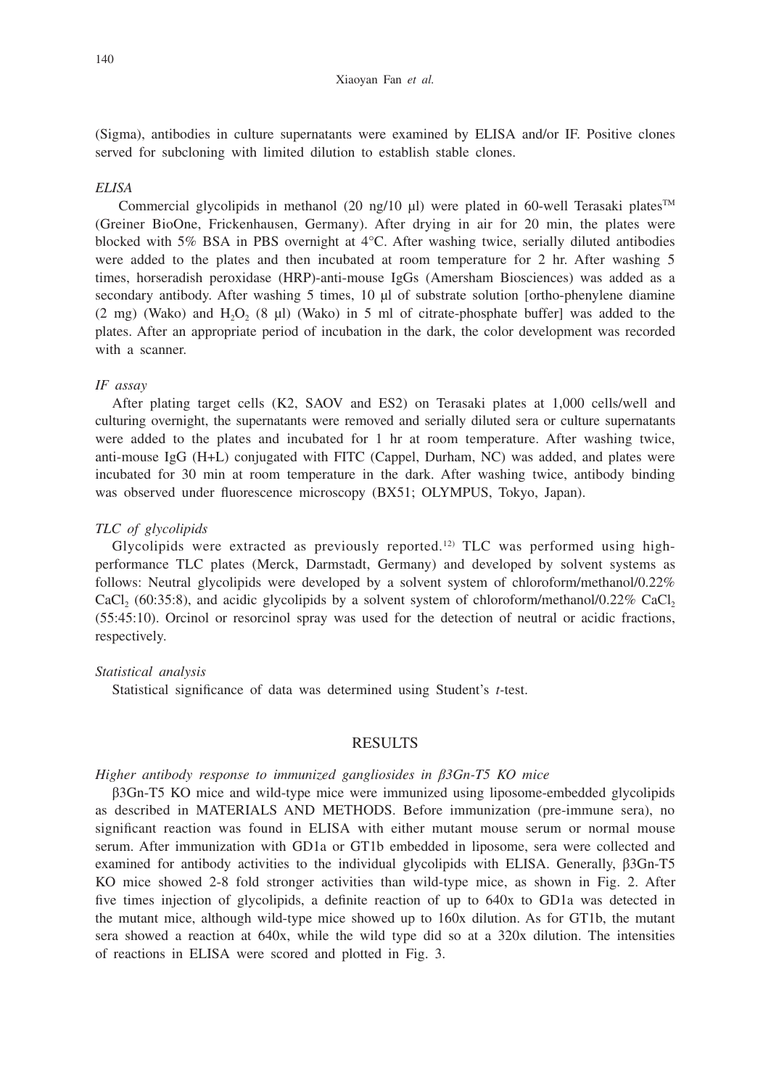#### Xiaoyan Fan *et al.*

(Sigma), antibodies in culture supernatants were examined by ELISA and/or IF. Positive clones served for subcloning with limited dilution to establish stable clones.

## *ELISA*

Commercial glycolipids in methanol (20 ng/10 μl) were plated in 60-well Terasaki plates<sup>TM</sup> (Greiner BioOne, Frickenhausen, Germany). After drying in air for 20 min, the plates were blocked with 5% BSA in PBS overnight at 4°C. After washing twice, serially diluted antibodies were added to the plates and then incubated at room temperature for 2 hr. After washing 5 times, horseradish peroxidase (HRP)-anti-mouse IgGs (Amersham Biosciences) was added as a secondary antibody. After washing 5 times, 10 μl of substrate solution [ortho-phenylene diamine  $(2 \text{ mg})$  (Wako) and H<sub>2</sub>O<sub>2</sub> (8 µl) (Wako) in 5 ml of citrate-phosphate buffer] was added to the plates. After an appropriate period of incubation in the dark, the color development was recorded with a scanner.

# *IF assay*

After plating target cells (K2, SAOV and ES2) on Terasaki plates at 1,000 cells/well and culturing overnight, the supernatants were removed and serially diluted sera or culture supernatants were added to the plates and incubated for 1 hr at room temperature. After washing twice, anti-mouse IgG (H+L) conjugated with FITC (Cappel, Durham, NC) was added, and plates were incubated for 30 min at room temperature in the dark. After washing twice, antibody binding was observed under fluorescence microscopy (BX51; OLYMPUS, Tokyo, Japan).

### *TLC of glycolipids*

Glycolipids were extracted as previously reported.<sup>12</sup> TLC was performed using highperformance TLC plates (Merck, Darmstadt, Germany) and developed by solvent systems as follows: Neutral glycolipids were developed by a solvent system of chloroform/methanol/0.22% CaCl<sub>2</sub> (60:35:8), and acidic glycolipids by a solvent system of chloroform/methanol/0.22% CaCl<sub>2</sub> (55:45:10). Orcinol or resorcinol spray was used for the detection of neutral or acidic fractions, respectively.

#### *Statistical analysis*

Statistical significance of data was determined using Student's *t-*test.

# RESULTS

# *Higher antibody response to immunized gangliosides in β3Gn-T5 KO mice*

β3Gn-T5 KO mice and wild-type mice were immunized using liposome-embedded glycolipids as described in MATERIALS AND METHODS. Before immunization (pre-immune sera), no significant reaction was found in ELISA with either mutant mouse serum or normal mouse serum. After immunization with GD1a or GT1b embedded in liposome, sera were collected and examined for antibody activities to the individual glycolipids with ELISA. Generally, β3Gn-T5 KO mice showed 2-8 fold stronger activities than wild-type mice, as shown in Fig. 2. After five times injection of glycolipids, a definite reaction of up to 640x to GD1a was detected in the mutant mice, although wild-type mice showed up to 160x dilution. As for GT1b, the mutant sera showed a reaction at 640x, while the wild type did so at a 320x dilution. The intensities of reactions in ELISA were scored and plotted in Fig. 3.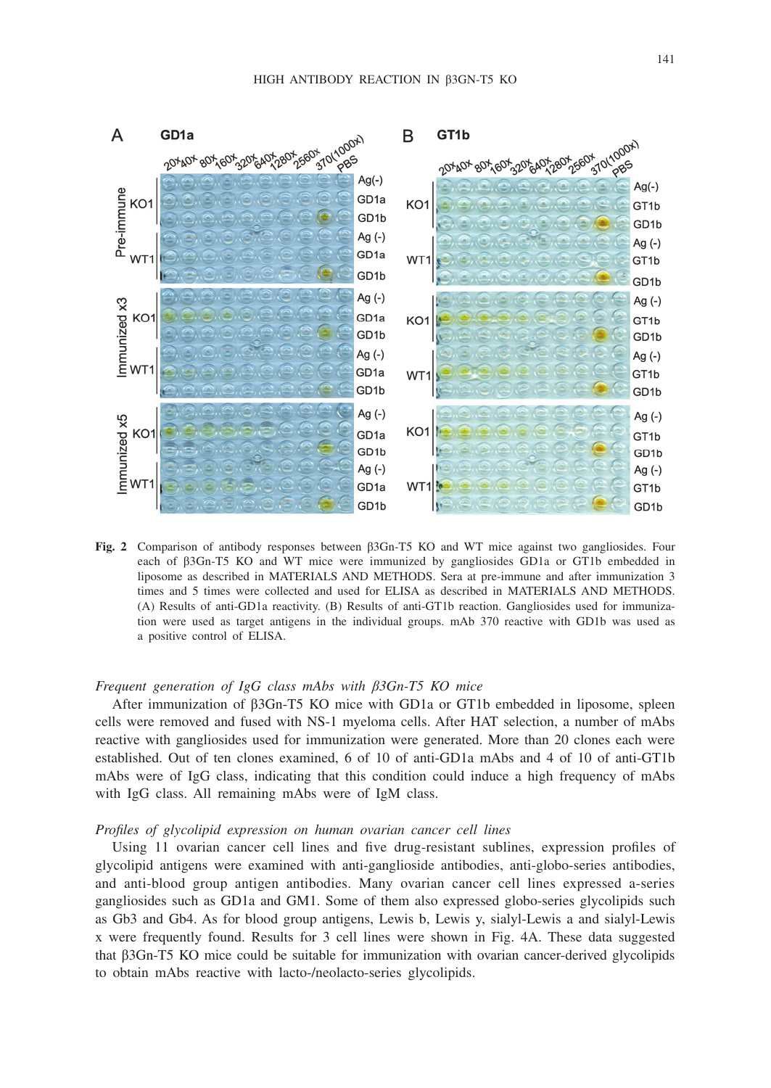

**Fig. 2** Comparison of antibody responses between β3Gn-T5 KO and WT mice against two gangliosides. Four each of β3Gn-T5 KO and WT mice were immunized by gangliosides GD1a or GT1b embedded in liposome as described in MATERIALS AND METHODS. Sera at pre-immune and after immunization 3 times and 5 times were collected and used for ELISA as described in MATERIALS AND METHODS. (A) Results of anti-GD1a reactivity. (B) Results of anti-GT1b reaction. Gangliosides used for immunization were used as target antigens in the individual groups. mAb 370 reactive with GD1b was used as a positive control of ELISA.

# *Frequent generation of IgG class mAbs with β3Gn-T5 KO mice*

After immunization of β3Gn-T5 KO mice with GD1a or GT1b embedded in liposome, spleen cells were removed and fused with NS-1 myeloma cells. After HAT selection, a number of mAbs reactive with gangliosides used for immunization were generated. More than 20 clones each were established. Out of ten clones examined, 6 of 10 of anti-GD1a mAbs and 4 of 10 of anti-GT1b mAbs were of IgG class, indicating that this condition could induce a high frequency of mAbs with IgG class. All remaining mAbs were of IgM class.

#### *Profiles of glycolipid expression on human ovarian cancer cell lines*

Using 11 ovarian cancer cell lines and five drug-resistant sublines, expression profiles of glycolipid antigens were examined with anti-ganglioside antibodies, anti-globo-series antibodies, and anti-blood group antigen antibodies. Many ovarian cancer cell lines expressed a-series gangliosides such as GD1a and GM1. Some of them also expressed globo-series glycolipids such as Gb3 and Gb4. As for blood group antigens, Lewis b, Lewis y, sialyl-Lewis a and sialyl-Lewis x were frequently found. Results for 3 cell lines were shown in Fig. 4A. These data suggested that β3Gn-T5 KO mice could be suitable for immunization with ovarian cancer-derived glycolipids to obtain mAbs reactive with lacto-/neolacto-series glycolipids.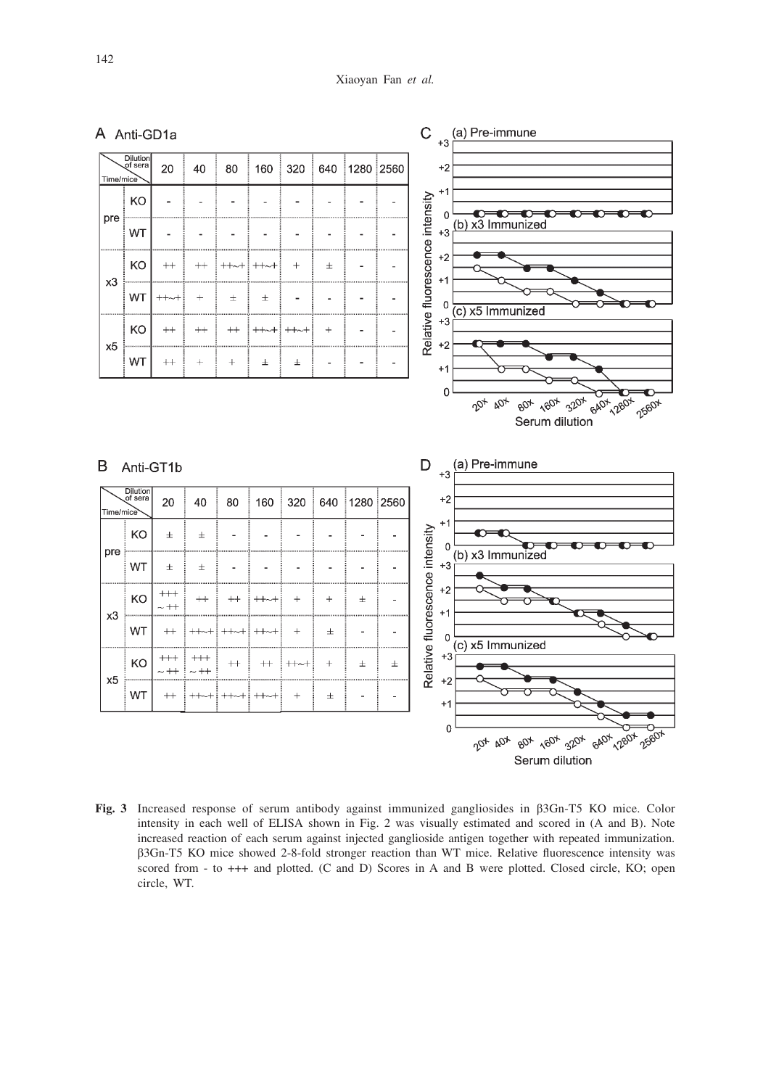

**Fig. 3** Increased response of serum antibody against immunized gangliosides in β3Gn-T5 KO mice. Color intensity in each well of ELISA shown in Fig. 2 was visually estimated and scored in (A and B). Note increased reaction of each serum against injected ganglioside antigen together with repeated immunization. β3Gn-T5 KO mice showed 2-8-fold stronger reaction than WT mice. Relative fluorescence intensity was scored from - to +++ and plotted. (C and D) Scores in A and B were plotted. Closed circle, KO; open circle, WT.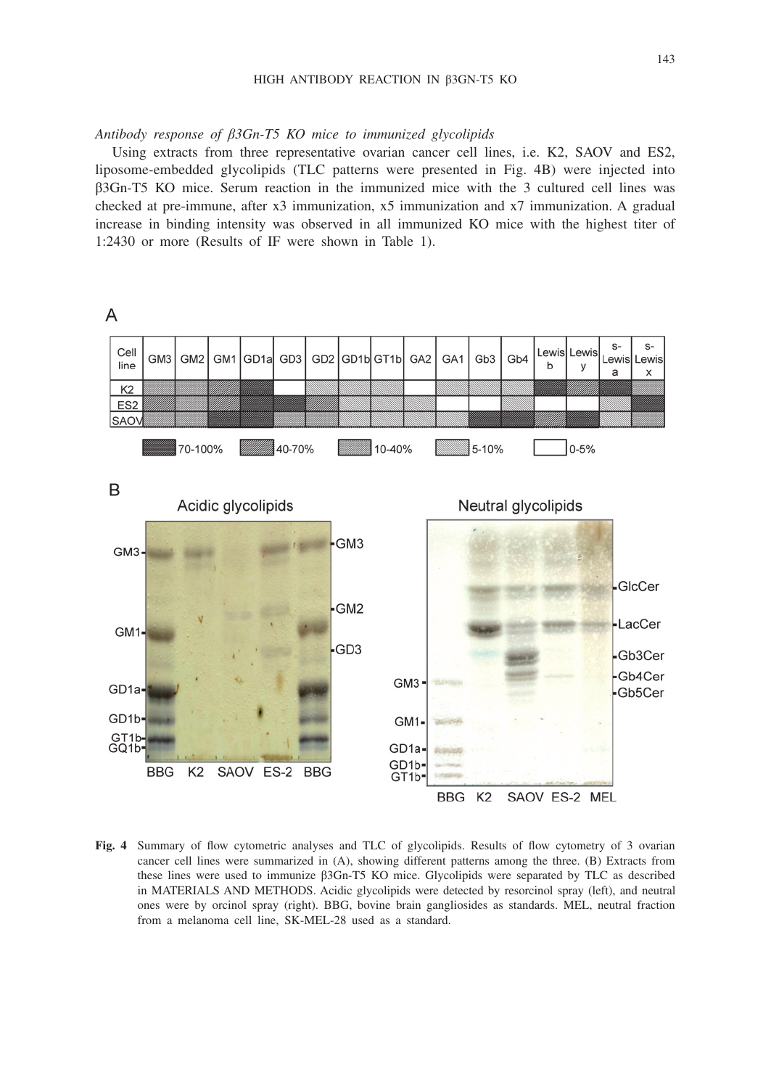*Antibody response of β3Gn-T5 KO mice to immunized glycolipids*

Using extracts from three representative ovarian cancer cell lines, i.e. K2, SAOV and ES2, liposome-embedded glycolipids (TLC patterns were presented in Fig. 4B) were injected into β3Gn-T5 KO mice. Serum reaction in the immunized mice with the 3 cultured cell lines was checked at pre-immune, after x3 immunization, x5 immunization and x7 immunization. A gradual increase in binding intensity was observed in all immunized KO mice with the highest titer of 1:2430 or more (Results of IF were shown in Table 1).



**Fig. 4** Summary of flow cytometric analyses and TLC of glycolipids. Results of flow cytometry of 3 ovarian cancer cell lines were summarized in (A), showing different patterns among the three. (B) Extracts from these lines were used to immunize β3Gn-T5 KO mice. Glycolipids were separated by TLC as described in MATERIALS AND METHODS. Acidic glycolipids were detected by resorcinol spray (left), and neutral ones were by orcinol spray (right). BBG, bovine brain gangliosides as standards. MEL, neutral fraction from a melanoma cell line, SK-MEL-28 used as a standard.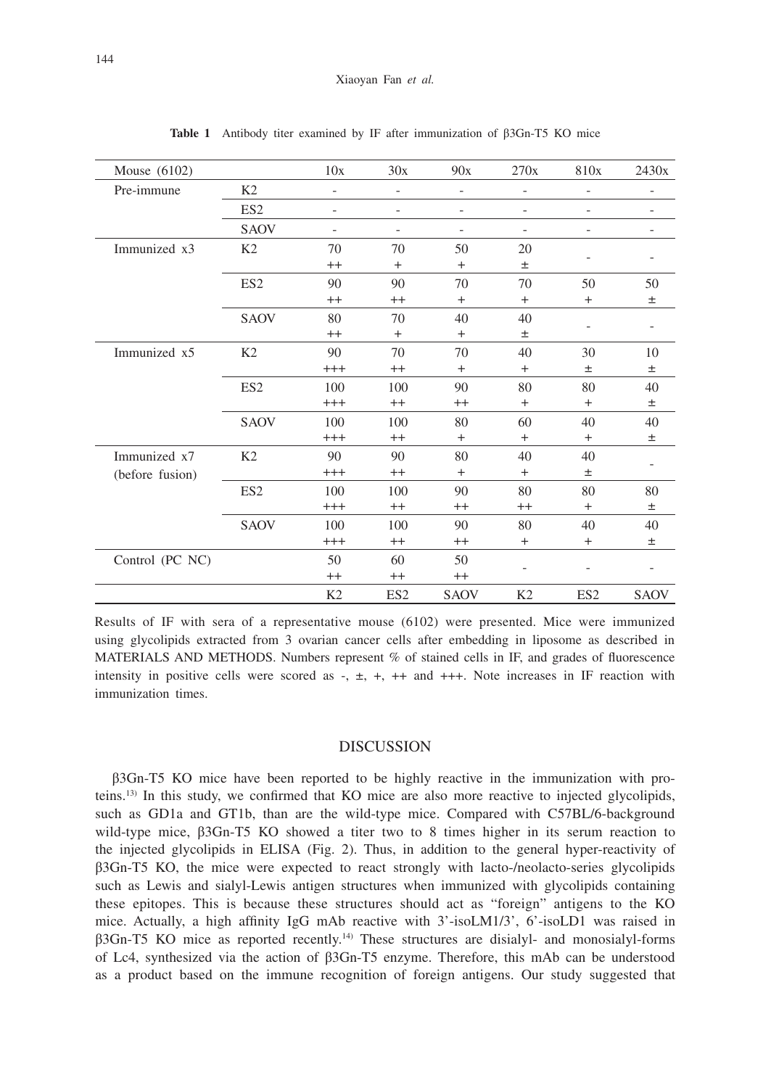| Mouse $(6102)$  |                 | 10x                      | 30x                      | 90x                      | 270x              | 810x                     | 2430x       |
|-----------------|-----------------|--------------------------|--------------------------|--------------------------|-------------------|--------------------------|-------------|
| Pre-immune      | K <sub>2</sub>  | $\overline{\phantom{0}}$ | $\overline{\phantom{0}}$ | $\overline{\phantom{0}}$ |                   |                          |             |
|                 | ES <sub>2</sub> | $\overline{\phantom{0}}$ | $\overline{\phantom{0}}$ | $\overline{\phantom{a}}$ | $\qquad \qquad -$ | $\overline{\phantom{0}}$ |             |
|                 | <b>SAOV</b>     | $\overline{\phantom{0}}$ |                          | $\overline{\phantom{0}}$ |                   |                          |             |
| Immunized x3    | K <sub>2</sub>  | 70                       | 70                       | 50                       | 20                |                          |             |
|                 |                 | $^{++}$                  | $+$                      | $+$                      | $\pm$             |                          |             |
|                 | ES <sub>2</sub> | 90                       | 90                       | 70                       | 70                | 50                       | 50          |
|                 |                 | $^{++}$                  | $^{++}$                  | $\ddot{}$                | $^{+}$            | $\ddot{}$                | 土           |
|                 | <b>SAOV</b>     | 80                       | 70                       | 40                       | 40                |                          |             |
|                 |                 | $^{++}$                  | $^{+}$                   | $+$                      | $\pm$             |                          |             |
| Immunized x5    | K <sub>2</sub>  | 90                       | 70                       | 70                       | 40                | 30                       | 10          |
|                 |                 | $^{+++}$                 | $^{++}$                  | $\ddot{}$                | $^{+}$            | 士                        | 土           |
|                 | ES <sub>2</sub> | 100                      | 100                      | 90                       | 80                | 80                       | 40          |
|                 |                 | $^{+++}$                 | $^{++}$                  | $^{++}$                  | $+$               | $+$                      | $\pm$       |
|                 | <b>SAOV</b>     | 100                      | 100                      | 80                       | 60                | 40                       | 40          |
|                 |                 | $^{+++}$                 | $^{++}$                  | $+$                      | $+$               | $\ddot{}$                | $\pm$       |
| Immunized x7    | K <sub>2</sub>  | 90                       | 90                       | 80                       | 40                | 40                       |             |
| (before fusion) |                 | $^{+++}$                 | $^{++}$                  | $+$                      | $+$               | $\pm$                    |             |
|                 | ES <sub>2</sub> | 100                      | 100                      | 90                       | 80                | 80                       | 80          |
|                 |                 | $^{+++}$                 | $++$                     | $++$                     | $++$              | $^{+}$                   | $\pm$       |
|                 | <b>SAOV</b>     | 100                      | 100                      | 90                       | 80                | 40                       | 40          |
|                 |                 | $^{+++}$                 | $++$                     | $++$                     | $+$               | $+$                      | 土           |
| Control (PC NC) |                 | 50                       | 60                       | 50                       |                   |                          |             |
|                 |                 | $^{++}$                  | $^{++}$                  | $^{++}$                  |                   |                          |             |
|                 |                 | K <sub>2</sub>           | ES <sub>2</sub>          | <b>SAOV</b>              | K2                | ES <sub>2</sub>          | <b>SAOV</b> |

**Table 1** Antibody titer examined by IF after immunization of β3Gn-T5 KO mice

Results of IF with sera of a representative mouse (6102) were presented. Mice were immunized using glycolipids extracted from 3 ovarian cancer cells after embedding in liposome as described in MATERIALS AND METHODS. Numbers represent % of stained cells in IF, and grades of fluorescence intensity in positive cells were scored as  $-$ ,  $\pm$ ,  $+$ ,  $++$  and  $+++$ . Note increases in IF reaction with immunization times.

## DISCUSSION

β3Gn-T5 KO mice have been reported to be highly reactive in the immunization with proteins.13) In this study, we confirmed that KO mice are also more reactive to injected glycolipids, such as GD1a and GT1b, than are the wild-type mice. Compared with C57BL/6-background wild-type mice, β3Gn-T5 KO showed a titer two to 8 times higher in its serum reaction to the injected glycolipids in ELISA (Fig. 2). Thus, in addition to the general hyper-reactivity of β3Gn-T5 KO, the mice were expected to react strongly with lacto-/neolacto-series glycolipids such as Lewis and sialyl-Lewis antigen structures when immunized with glycolipids containing these epitopes. This is because these structures should act as "foreign" antigens to the KO mice. Actually, a high affinity IgG mAb reactive with 3'-isoLM1/3', 6'-isoLD1 was raised in β3Gn-T5 KO mice as reported recently.14) These structures are disialyl- and monosialyl-forms of Lc4, synthesized via the action of β3Gn-T5 enzyme. Therefore, this mAb can be understood as a product based on the immune recognition of foreign antigens. Our study suggested that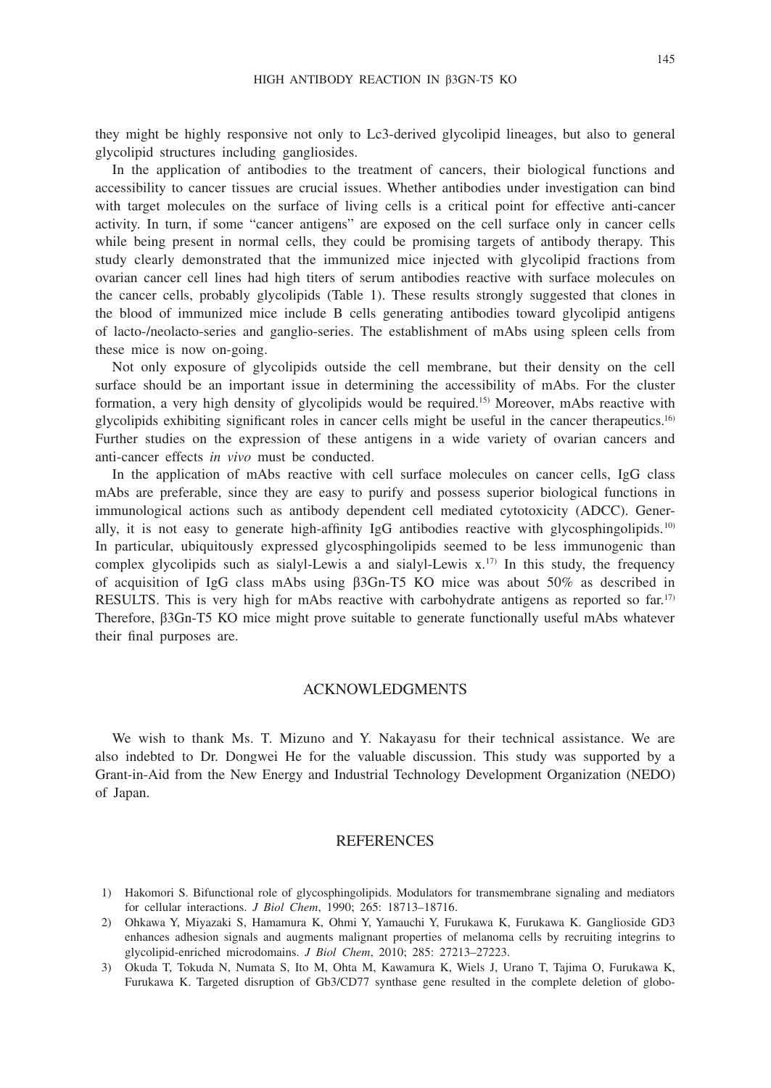they might be highly responsive not only to Lc3-derived glycolipid lineages, but also to general glycolipid structures including gangliosides.

In the application of antibodies to the treatment of cancers, their biological functions and accessibility to cancer tissues are crucial issues. Whether antibodies under investigation can bind with target molecules on the surface of living cells is a critical point for effective anti-cancer activity. In turn, if some "cancer antigens" are exposed on the cell surface only in cancer cells while being present in normal cells, they could be promising targets of antibody therapy. This study clearly demonstrated that the immunized mice injected with glycolipid fractions from ovarian cancer cell lines had high titers of serum antibodies reactive with surface molecules on the cancer cells, probably glycolipids (Table 1). These results strongly suggested that clones in the blood of immunized mice include B cells generating antibodies toward glycolipid antigens of lacto-/neolacto-series and ganglio-series. The establishment of mAbs using spleen cells from these mice is now on-going.

Not only exposure of glycolipids outside the cell membrane, but their density on the cell surface should be an important issue in determining the accessibility of mAbs. For the cluster formation, a very high density of glycolipids would be required.15) Moreover, mAbs reactive with glycolipids exhibiting significant roles in cancer cells might be useful in the cancer therapeutics.16) Further studies on the expression of these antigens in a wide variety of ovarian cancers and anti-cancer effects *in vivo* must be conducted.

In the application of mAbs reactive with cell surface molecules on cancer cells, IgG class mAbs are preferable, since they are easy to purify and possess superior biological functions in immunological actions such as antibody dependent cell mediated cytotoxicity (ADCC). Generally, it is not easy to generate high-affinity IgG antibodies reactive with glycosphingolipids.<sup>10</sup> In particular, ubiquitously expressed glycosphingolipids seemed to be less immunogenic than complex glycolipids such as sialyl-Lewis a and sialyl-Lewis  $x<sup>17</sup>$  In this study, the frequency of acquisition of IgG class mAbs using β3Gn-T5 KO mice was about 50% as described in RESULTS. This is very high for mAbs reactive with carbohydrate antigens as reported so far.<sup>17)</sup> Therefore, β3Gn-T5 KO mice might prove suitable to generate functionally useful mAbs whatever their final purposes are.

# ACKNOWLEDGMENTS

We wish to thank Ms. T. Mizuno and Y. Nakayasu for their technical assistance. We are also indebted to Dr. Dongwei He for the valuable discussion. This study was supported by a Grant-in-Aid from the New Energy and Industrial Technology Development Organization (NEDO) of Japan.

# **REFERENCES**

- 1) Hakomori S. Bifunctional role of glycosphingolipids. Modulators for transmembrane signaling and mediators for cellular interactions. *J Biol Chem*, 1990; 265: 18713–18716.
- 2) Ohkawa Y, Miyazaki S, Hamamura K, Ohmi Y, Yamauchi Y, Furukawa K, Furukawa K. Ganglioside GD3 enhances adhesion signals and augments malignant properties of melanoma cells by recruiting integrins to glycolipid-enriched microdomains. *J Biol Chem*, 2010; 285: 27213–27223.
- 3) Okuda T, Tokuda N, Numata S, Ito M, Ohta M, Kawamura K, Wiels J, Urano T, Tajima O, Furukawa K, Furukawa K. Targeted disruption of Gb3/CD77 synthase gene resulted in the complete deletion of globo-